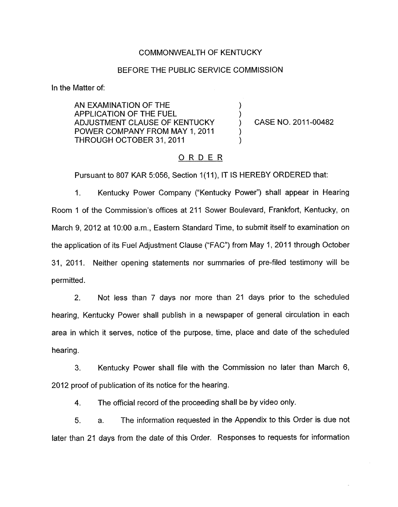### COMMONWEALTH OF KENTUCKY

#### BEFORE THE PUBLIC SERVICE COMMISSION

In the Matter of:

AN EXAMINATION OF THE<br>APPLICATION OF THE FUEL ADJUSTMENT CLAUSE OF KENTUCKY ) CASE NO. 2011-00482 POWER COMPANY FROM MAY 1, 2011 THROUGH OCTOBER 31, 2011

## ORDER

Pursuant to 807 KAR 5:056, Section 1(11), IT IS HEREBY ORDERED that:

1. Kentucky Power Company ("Kentucky Power") shall appear in Hearing Room 1 of the Commission's offices at 211 Sower Boulevard, Frankfort, Kentucky, on March 9, 2012 at 1O:OO a.m., Eastern Standard Time, to submit itself to examination on the application of its Fuel Adjustment Clause ("FAC") from May 1, 2011 through October 31, 2011. Neither opening statements nor summaries of pre-filed testimony will be permitted.

2. Not less than 7 days nor more than 21 days prior to the scheduled hearing, Kentucky Power shall publish in a newspaper of general circulation in each area in which it serves, notice of the purpose, time, place and date of the scheduled hearing.

3. Kentucky Power shall file with the Commission no later than March 6, 2012 proof of publication of its notice for the hearing.

**4.** The official record of the proceeding shall be by video only.

5. a. The information requested in the Appendix to this Order is due not later than 21 days from the date of this Order. Responses to requests for information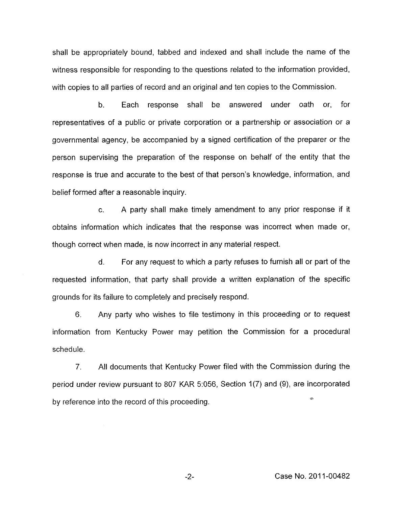shall be appropriately bound, tabbed and indexed and shall include the name of the witness responsible for responding to the questions related to the information provided, with copies to all parties of record and an original and ten copies to the Commission.

b. Each response shall be answered under oath or, for representatives of a public or private corporation or a partnership or association or a governmental agency, be accompanied by a signed certification of the preparer or the person supervising the preparation of the response on behalf of the entity that the response is true and accurate to the best of that person's knowledge, information, and belief formed after a reasonable inquiry.

c. A party shall make timely amendment to any prior response if it obtains information which indicates that the response was incorrect when made or, though correct when made, is now incorrect in any material respect.

d. For any request to which a party refuses to furnish all or part of the requested information, that party shall provide a written explanation of the specific grounds for its failure to completely and precisely respond.

6. Any party who wishes to file testimony in this proceeding or to request information from Kentucky Power may petition the Commission for a procedural schedule.

7. All documents that Kentucky Power filed with the Commission during the period under review pursuant to 807 KAR 5:056, Section 1(7) and (9), are incorporated by reference into the record of this proceeding.

-2- Case No. 201 1-00482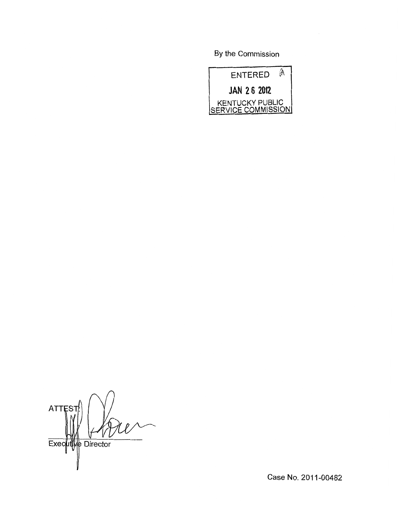By the Commission



**ATTES** Executive Director

Case No. 2011-00482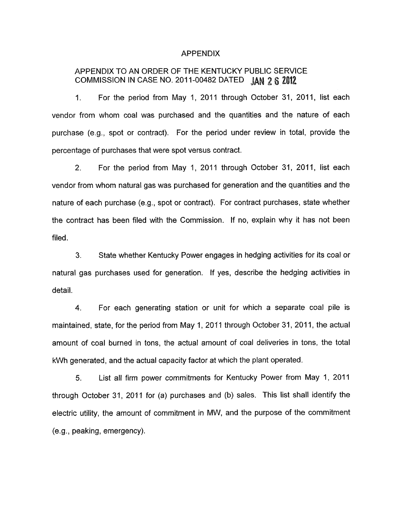#### APPENDIX

# APPENDIX TO AN ORDER OF THE KENTUCKY PUBLIC SERVICE COMMISSION IN CASE NO. 2011-00482 DATED JAN 2 6 2012

1. For the period from May 1, 2011 through October 31, 2011, list each vendor from whom coal was purchased and the quantities and the nature of each purchase (e.g., spot or contract). For the period under review in total, provide the percentage of purchases that were spot versus contract.

2. For the period from May 1, 2011 through October 31, 2011, list each vendor from whom natural gas was purchased for generation and the quantities and the nature of each purchase (e.g., spot or contract). For contract purchases, state whether the contract has been filed with the Commission. If no, explain why it has not been filed.

3. State whether Kentucky Power engages in hedging activities for its coal or natural gas purchases used for generation. If yes, describe the hedging activities in detail.

4. For each generating station or unit for which a separate coal pile is maintained, state, for the period from May 1, 2011 through October 31, 2011, the actual amount of coal burned in tons, the actual amount of coal deliveries in tons, the total kWh generated, and the actual capacity factor at which the plant operated.

5. List all firm power commitments for Kentucky Power from May I, 2011 through October 31, 2011 for (a) purchases and (b) sales. This list shall identify the electric utility, the amount *of* commitment in MW, and the purpose of the commitment (e.g., peaking, emergency).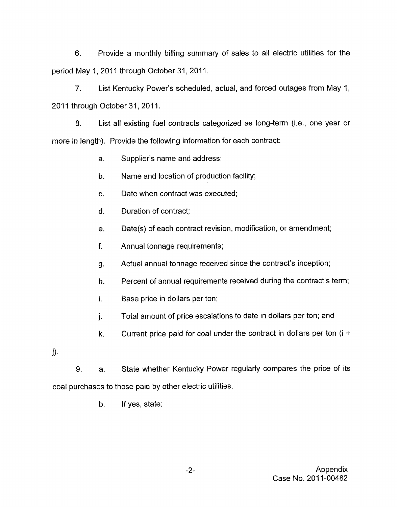6. Provide a monthly billing summary of sales to all electric utilities for the period May 1, 2011 through October 31, 2011.

*7.* List Kentucky Power's scheduled, actual, and forced outages from May I, 2011 through October 31, 2011.

8. List all existing fuel contracts categorized as long-term (i.e., one year or more in length). Provide the following information for each contract:

> a. Supplier's name and address;

- b. Name and location of production facility;
- C. Date when contract was executed;
- d. Duration of contract;
- e. Date(s) of each contract revision, modification, or amendment;
- f. Annual tonnage requirements;
- $\mathfrak{g}.$ Actual annual tonnage received since the contract's inception;
- h. Percent of annual requirements received during the contract's term;
- **I.**  Base price in dollars per ton;
- **j.**  Total amount of price escalations to date in dollars per ton; and
- k. Current price paid for coal under the contract in dollars per ton (i +

j).

- **9.** a. State whether Kentucky Power regularly compares the price of its coal purchases to those paid by other electric utilities.
	- b. If yes, state: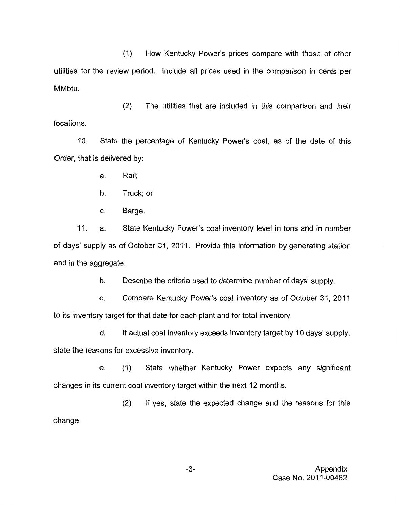(1) How Kentucky Power's prices compare with those of other utilities for the review period. Include all prices used in the comparison in cents per MMbtu.

(2) The utilities that are included in this comparison and their locations.

IO. State the percentage of Kentucky Power's coal, as of the date of this Order, that is delivered by:

- a. Rail;
- b. Truck; or
- c. Barge.

11. a. State Kentucky Power's coal inventory level in tons and in number of days' supply as of October 31, 2011. Provide this information by generating station and in the aggregate.

> b. Describe the criteria used to determine number of days' supply.

c. Compare Kentucky Power's coal inventory as of October 31, 2011 to its inventory target for that date for each plant and for total inventory.

d. If actual coal inventory exceeds inventory target by 10 days' supply, state the reasons for excessive inventory.

e. (1) State whether Kentucky Power expects any significant changes in its current coal inventory target within the next 12 months.

(2) If yes, state the expected change and the reasons for this change.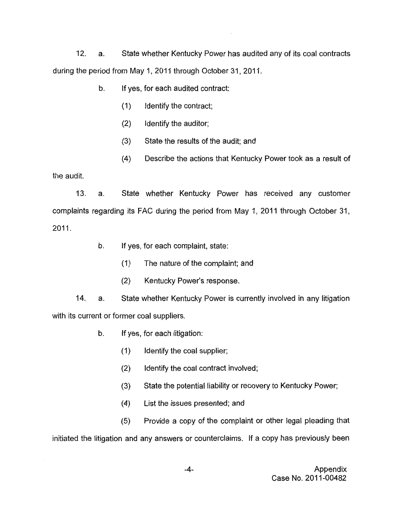12. a. State whether Kentucky Power has audited any of its coal contracts during the period from May 1, 2011 through October 31, 2011.

- b. If yes, for each audited contract:
	- (1) Identify the contract;
	- (2) Identify the auditor;
	- (3) State the results of the audit; and
- (4) Describe the actions that Kentucky Power took as a result of the audit.

13. a. State whether Kentucky Power has received any customer complaints regarding its FAC during the period from May 1, 2011 through October 31, 2011.

- b. If yes, for each complaint, state:
	- (I) The nature of the complaint; and
	- (2) Kentucky Power's response.

State whether Kentucky Power is currently involved in any litigation 14. a. with its current or former coal suppliers.

- b. If yes, for each litigation:
	- (I) Identify the coal supplier;
	- (2) Identify the coal contract involved;
	- (3) State the potential liability or recovery to Kentucky Power:
	- (4) List the issues presented; and
	- (5) Provide a copy of the complaint or other legal pleading that

initiated the litigation and any answers or counterclaims. If a copy has previously been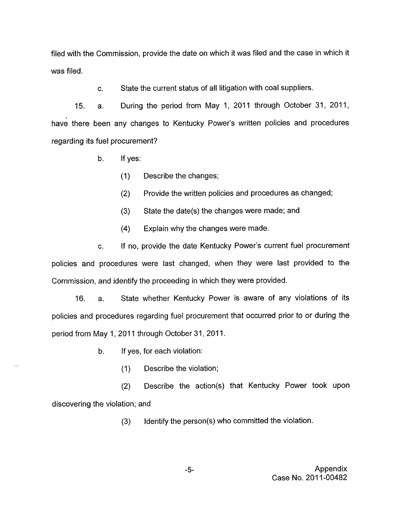filed with the Commission, provide the date on which it was filed and the case in which it was filed.

> c. State the current status of all litigation with coal suppliers.

15. a. During the period from May 1, 2011 through October 31, 2011, have there been any changes to Kentucky Power's written policies and procedures regarding its fuel procurement?

- b. If yes:
	- (I) Describe the changes;
	- (2) Provide the written policies and procedures as changed;
	- (3) State the date(s) the changes were made; and
	- **(4)**  Explain why the changes were made.

**If** no, provide the date Kentucky Power's current fuel procurement policies and procedures were last changed, when they were last provided to the Commission, and identify the proceeding in which they were provided. c.

16. a. State whether Kentucky Power is aware of any violations of its policies and procedures regarding fuel procurement that occurred prior to or during the period from May 1, 2011 through October 31, 2011.

- b. If yes, for each violation:
	- (I) Describe the violation;

(2) Describe the action(s) that Kentucky Power took upon discovering the violation; and

(3) Identify the person(s) who committed the violation.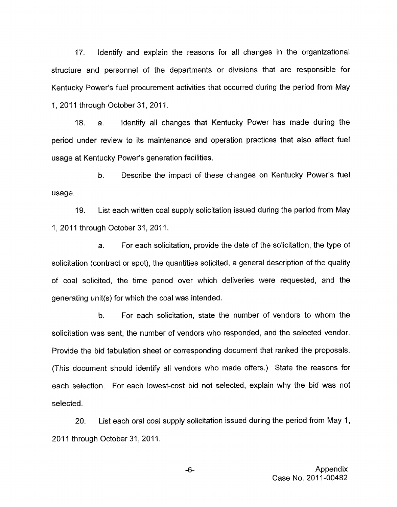17. Identify and explain the reasons for all changes in the organizational structure and personnel of the departments or divisions that are responsible for Kentucky Power's fuel procurement activities that occurred during the period from May 1, 2011 through October 31, 2011.

18. a. Identify all changes that Kentucky Power has made during the period under review to its maintenance and operation practices that also affect fuel usage at Kentucky Power's generation facilities.

b. Describe the impact of these changes on Kentucky Power's fuel usage.

19. List each written coal supply solicitation issued during the period from May 1, 2011 through October 31, 2011.

a. For each solicitation, provide the date of the solicitation, the type of solicitation (contract or spot), the quantities solicited, a general description of the quality of coal solicited, the time period over which deliveries were requested, and the generating unit(s) for which the coal was intended.

b. For each solicitation, state the number of vendors to whom the solicitation was sent, the number of vendors who responded, and the selected vendor. Provide the bid tabulation sheet or corresponding document that ranked the proposals. (This document should identify all vendors who made offers.) State the reasons for each selection. For each lowest-cost bid not selected, explain why the bid was not selected.

20. List each oral coal supply solicitation issued during the period from May 1, 2011 through October 31, 2011.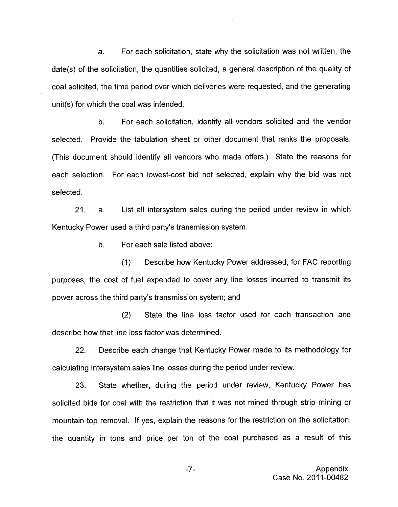a. For each solicitation, state why the solicitation was not written, the date(s) of the solicitation, the quantities solicited, a general description of the quality of coal solicited, the time period over which deliveries were requested, and the generating unit(s) for which the coal was intended.

b. For each solicitation, identify all vendors solicited and the vendor selected. Provide the tabulation sheet or other document that ranks the proposals. (This document should identify all vendors who made offers.) State the reasons for each selection. For each lowest-cost bid not selected, explain why the bid was not selected.

21. a. List all intersystem sales during the period under review in which Kentucky Power used a third party's transmission system.

b. For each sale listed above:

(1) Describe how Kentucky Power addressed, for FAC reporting purposes, the cost of fuel expended to cover any line losses incurred to transmit its power across the third party's transmission system; and

(2) State the line loss factor used for each transaction and describe how that line loss factor was determined.

22. Describe each change that Kentucky Power made to its methodology for calculating intersystem sales line losses during the period under review.

23. State whether, during the period under review, Kentucky Power has solicited bids for coal with the restriction that it was not mined through strip mining or mountain top removal. If yes, explain the reasons for the restriction on the solicitation, the quantity in tons and price per ton of the coal purchased as a result of this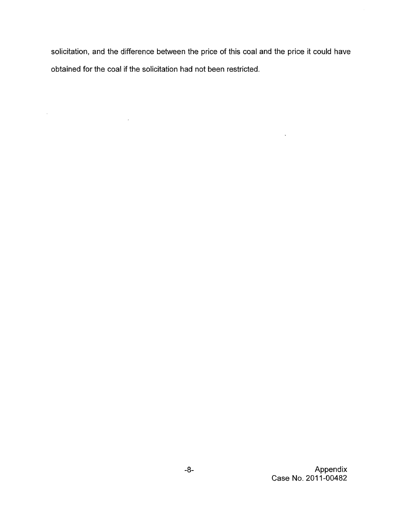solicitation, and the difference between the price of this coal and the price it could have obtained for the coal if the solicitation had not been restricted.

 $\mathcal{A}^{\text{max}}_{\text{max}}$ 

 $\mathcal{L}^{\text{max}}_{\text{max}}$  and  $\mathcal{L}^{\text{max}}_{\text{max}}$ 

 $\sim 10^4$